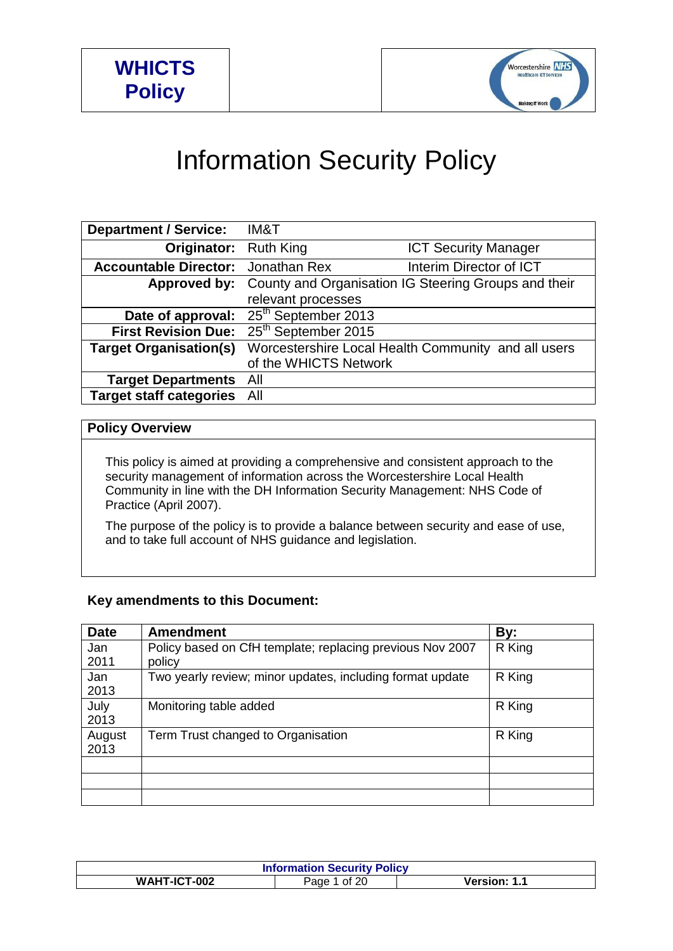

# Information Security Policy

| <b>Department / Service:</b>   | IM&T                            |                                                                   |
|--------------------------------|---------------------------------|-------------------------------------------------------------------|
| <b>Originator:</b> Ruth King   |                                 | <b>ICT Security Manager</b>                                       |
| <b>Accountable Director:</b>   | Jonathan Rex                    | Interim Director of ICT                                           |
|                                |                                 | Approved by: County and Organisation IG Steering Groups and their |
|                                | relevant processes              |                                                                   |
| Date of approval:              | $25th$ September 2013           |                                                                   |
| <b>First Revision Due:</b>     | 25 <sup>th</sup> September 2015 |                                                                   |
| <b>Target Organisation(s)</b>  |                                 | Worcestershire Local Health Community and all users               |
|                                | of the WHICTS Network           |                                                                   |
| <b>Target Departments</b>      | All                             |                                                                   |
| <b>Target staff categories</b> | All                             |                                                                   |

## **Policy Overview**

This policy is aimed at providing a comprehensive and consistent approach to the security management of information across the Worcestershire Local Health Community in line with the DH Information Security Management: NHS Code of Practice (April 2007).

The purpose of the policy is to provide a balance between security and ease of use, and to take full account of NHS guidance and legislation.

# **Key amendments to this Document:**

| <b>Date</b> | <b>Amendment</b>                                          | By:    |
|-------------|-----------------------------------------------------------|--------|
| Jan         | Policy based on CfH template; replacing previous Nov 2007 | R King |
| 2011        | policy                                                    |        |
| Jan         | Two yearly review; minor updates, including format update | R King |
| 2013        |                                                           |        |
| July        | Monitoring table added                                    | R King |
| 2013        |                                                           |        |
| August      | Term Trust changed to Organisation                        | R King |
| 2013        |                                                           |        |
|             |                                                           |        |
|             |                                                           |        |
|             |                                                           |        |

| <b>Information Security Policy</b> |                                        |              |  |
|------------------------------------|----------------------------------------|--------------|--|
| WAHT-ICT-002                       | $^{\circ}$ 20 $^{\circ}$<br>Page<br>∩t | Version: 1.1 |  |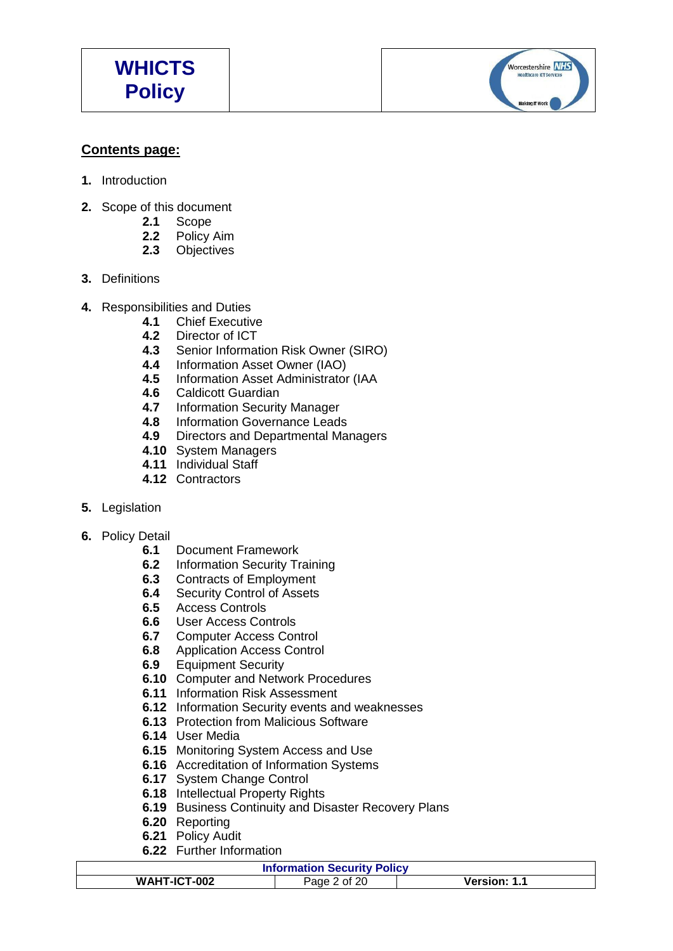Worcestershire NHS **Healthcare ICT Se Making IT Work** 

# **Contents page:**

- **1.** Introduction
- **2.** Scope of this document
	- **2.1** Scope
	- **2.2** Policy Aim
	- **2.3** Objectives
- **3.** Definitions
- **4.** Responsibilities and Duties
	- **4.1** Chief Executive
		- **4.2** Director of ICT
		- **4.3** Senior Information Risk Owner (SIRO)
		- **4.4** Information Asset Owner (IAO)
		- **4.5** Information Asset Administrator (IAA
		- **4.6** Caldicott Guardian
		- **4.7** Information Security Manager
		- **4.8** Information Governance Leads
		- **4.9** Directors and Departmental Managers
		- **4.10** System Managers
		- **4.11** Individual Staff
		- **4.12** Contractors
- **5.** Legislation
- **6.** Policy Detail
	- **6.1** Document Framework
	- **6.2** Information Security Training
	- **6.3** Contracts of Employment
	- **6.4** Security Control of Assets
	- **6.5** Access Controls
	- **6.6** User Access Controls<br>**6.7** Computer Access Cor
	- **6.7** Computer Access Control
	- **6.8** Application Access Control
	- **6.9** Equipment Security
	- **6.10** Computer and Network Procedures
	- **6.11** Information Risk Assessment
	- **6.12** Information Security events and weaknesses
	- **6.13** Protection from Malicious Software
	- **6.14** User Media
	- **6.15** Monitoring System Access and Use
	- **6.16** Accreditation of Information Systems
	- **6.17** System Change Control
	- **6.18** Intellectual Property Rights
	- **6.19** Business Continuity and Disaster Recovery Plans
	- **6.20** Reporting
	- **6.21** Policy Audit
	- **6.22** Further Information

#### **Information Security Policy**

| <b>Experimental Security I Show</b> |   |  |  |
|-------------------------------------|---|--|--|
| WAHT-ICT-002                        | п |  |  |
|                                     |   |  |  |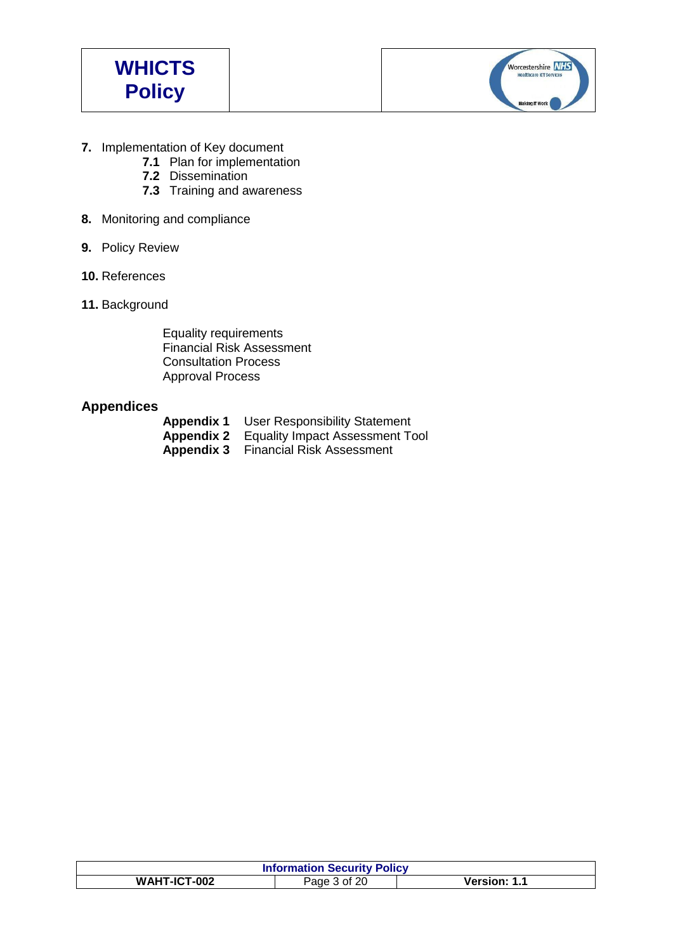



- **7.** Implementation of Key document
	- **7.1** Plan for implementation
	- **7.2** Dissemination
	- **7.3** Training and awareness
- **8.** Monitoring and compliance
- **9.** Policy Review
- **10.** References
- **11.** Background

Equality requirements Financial Risk Assessment Consultation Process Approval Process

# **Appendices**

| <b>Appendix 1</b> User Responsibility Statement   |
|---------------------------------------------------|
| <b>Appendix 2</b> Equality Impact Assessment Tool |
| <b>Appendix 3</b> Financial Risk Assessment       |

| <b>Information Security Policy</b>                    |  |  |  |
|-------------------------------------------------------|--|--|--|
| WAHT-ICT-002<br><b>Version: 1.1</b><br>of 20<br>Page, |  |  |  |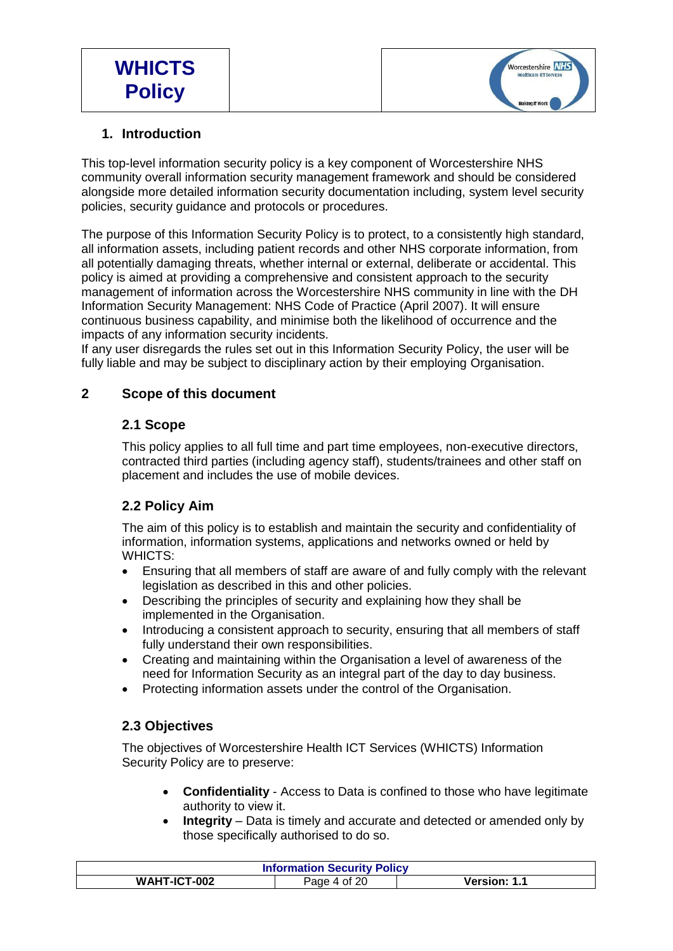

# **1. Introduction**

This top-level information security policy is a key component of Worcestershire NHS community overall information security management framework and should be considered alongside more detailed information security documentation including, system level security policies, security guidance and protocols or procedures.

The purpose of this Information Security Policy is to protect, to a consistently high standard, all information assets, including patient records and other NHS corporate information, from all potentially damaging threats, whether internal or external, deliberate or accidental. This policy is aimed at providing a comprehensive and consistent approach to the security management of information across the Worcestershire NHS community in line with the DH Information Security Management: NHS Code of Practice (April 2007). It will ensure continuous business capability, and minimise both the likelihood of occurrence and the impacts of any information security incidents.

If any user disregards the rules set out in this Information Security Policy, the user will be fully liable and may be subject to disciplinary action by their employing Organisation.

# **2 Scope of this document**

# **2.1 Scope**

This policy applies to all full time and part time employees, non-executive directors, contracted third parties (including agency staff), students/trainees and other staff on placement and includes the use of mobile devices.

# **2.2 Policy Aim**

The aim of this policy is to establish and maintain the security and confidentiality of information, information systems, applications and networks owned or held by WHICTS:

- Ensuring that all members of staff are aware of and fully comply with the relevant legislation as described in this and other policies.
- Describing the principles of security and explaining how they shall be implemented in the Organisation.
- Introducing a consistent approach to security, ensuring that all members of staff fully understand their own responsibilities.
- Creating and maintaining within the Organisation a level of awareness of the need for Information Security as an integral part of the day to day business.
- Protecting information assets under the control of the Organisation.

# **2.3 Objectives**

The objectives of Worcestershire Health ICT Services (WHICTS) Information Security Policy are to preserve:

- **Confidentiality** Access to Data is confined to those who have legitimate authority to view it.
- **Integrity** Data is timely and accurate and detected or amended only by those specifically authorised to do so.

| <b>Information Security Policy</b> |              |                     |
|------------------------------------|--------------|---------------------|
| WAHT-ICT-002                       | Page 4 of 20 | <b>Version: 1.1</b> |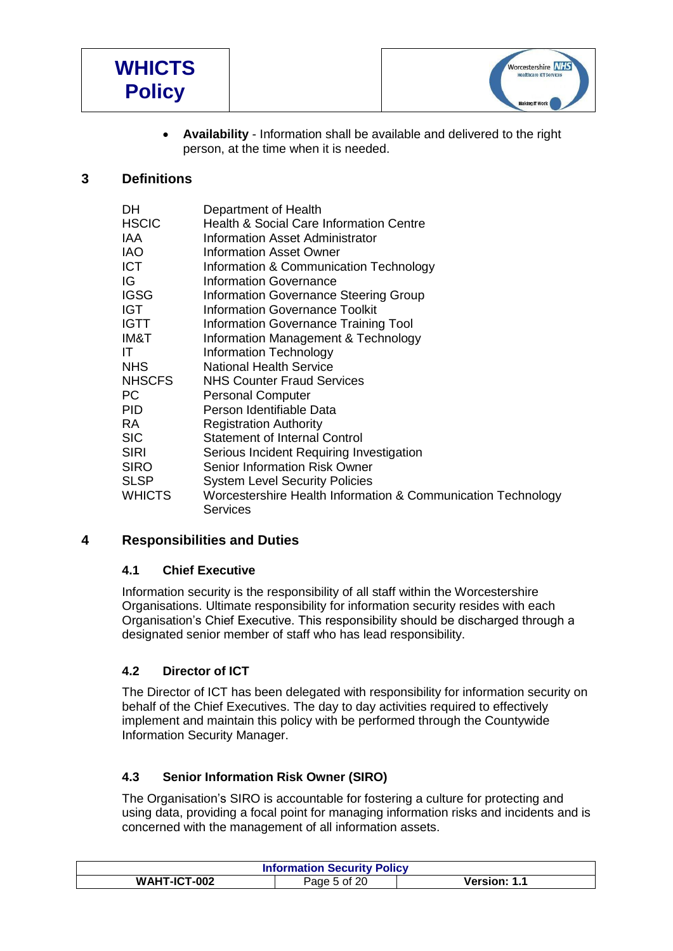



 **Availability** - Information shall be available and delivered to the right person, at the time when it is needed.

# **3 Definitions**

| <b>DH</b>     | Department of Health                                         |
|---------------|--------------------------------------------------------------|
| <b>HSCIC</b>  | <b>Health &amp; Social Care Information Centre</b>           |
| IAA           | Information Asset Administrator                              |
| <b>IAO</b>    | <b>Information Asset Owner</b>                               |
| <b>ICT</b>    | Information & Communication Technology                       |
| IG            | <b>Information Governance</b>                                |
| <b>IGSG</b>   | Information Governance Steering Group                        |
| <b>IGT</b>    | <b>Information Governance Toolkit</b>                        |
| <b>IGTT</b>   | Information Governance Training Tool                         |
| IM&T          | Information Management & Technology                          |
| IT            | <b>Information Technology</b>                                |
| <b>NHS</b>    | <b>National Health Service</b>                               |
| <b>NHSCFS</b> | <b>NHS Counter Fraud Services</b>                            |
| PC.           | <b>Personal Computer</b>                                     |
| PID.          | Person Identifiable Data                                     |
| <b>RA</b>     | <b>Registration Authority</b>                                |
| <b>SIC</b>    | <b>Statement of Internal Control</b>                         |
| <b>SIRI</b>   | Serious Incident Requiring Investigation                     |
| <b>SIRO</b>   | Senior Information Risk Owner                                |
| <b>SLSP</b>   | <b>System Level Security Policies</b>                        |
| <b>WHICTS</b> | Worcestershire Health Information & Communication Technology |
|               | Services                                                     |

# **4 Responsibilities and Duties**

#### **4.1 Chief Executive**

Information security is the responsibility of all staff within the Worcestershire Organisations. Ultimate responsibility for information security resides with each Organisation's Chief Executive. This responsibility should be discharged through a designated senior member of staff who has lead responsibility.

#### **4.2 Director of ICT**

The Director of ICT has been delegated with responsibility for information security on behalf of the Chief Executives. The day to day activities required to effectively implement and maintain this policy with be performed through the Countywide Information Security Manager.

#### **4.3 Senior Information Risk Owner (SIRO)**

The Organisation's SIRO is accountable for fostering a culture for protecting and using data, providing a focal point for managing information risks and incidents and is concerned with the management of all information assets.

| <b>Information Security Policy</b> |              |                     |  |
|------------------------------------|--------------|---------------------|--|
| WAHT-ICT-002                       | Page 5 of 20 | <b>Version: 1.1</b> |  |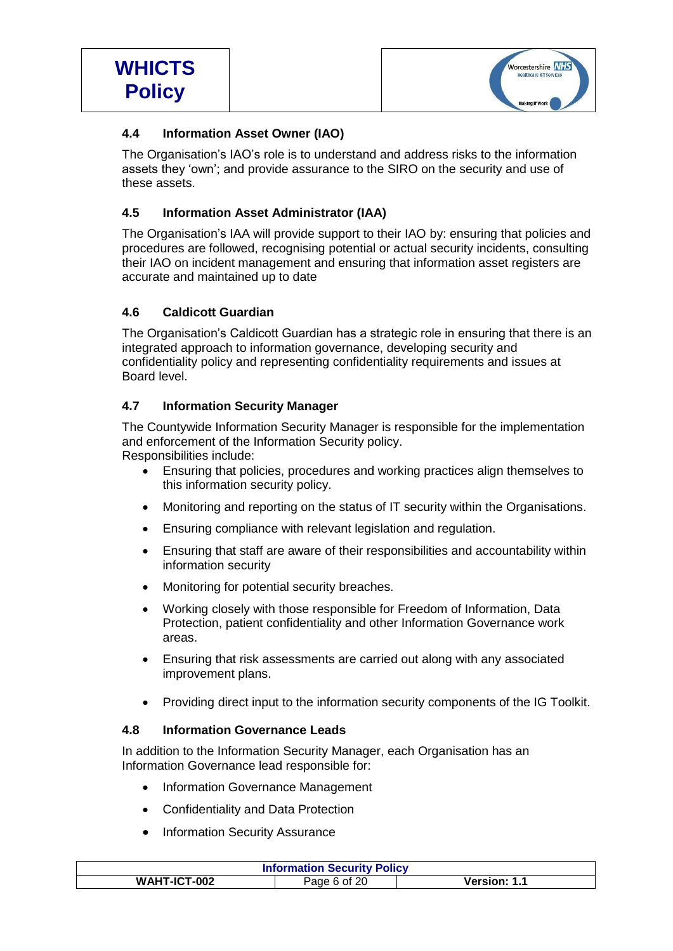

# **4.4 Information Asset Owner (IAO)**

The Organisation's IAO's role is to understand and address risks to the information assets they 'own'; and provide assurance to the SIRO on the security and use of these assets.

# **4.5 Information Asset Administrator (IAA)**

The Organisation's IAA will provide support to their IAO by: ensuring that policies and procedures are followed, recognising potential or actual security incidents, consulting their IAO on incident management and ensuring that information asset registers are accurate and maintained up to date

# **4.6 Caldicott Guardian**

The Organisation's Caldicott Guardian has a strategic role in ensuring that there is an integrated approach to information governance, developing security and confidentiality policy and representing confidentiality requirements and issues at Board level.

# **4.7 Information Security Manager**

The Countywide Information Security Manager is responsible for the implementation and enforcement of the Information Security policy. Responsibilities include:

- Ensuring that policies, procedures and working practices align themselves to this information security policy.
- Monitoring and reporting on the status of IT security within the Organisations.
- Ensuring compliance with relevant legislation and regulation.
- Ensuring that staff are aware of their responsibilities and accountability within information security
- Monitoring for potential security breaches.
- Working closely with those responsible for Freedom of Information, Data Protection, patient confidentiality and other Information Governance work areas.
- Ensuring that risk assessments are carried out along with any associated improvement plans.
- Providing direct input to the information security components of the IG Toolkit.

# **4.8 Information Governance Leads**

In addition to the Information Security Manager, each Organisation has an Information Governance lead responsible for:

- Information Governance Management
- Confidentiality and Data Protection
- Information Security Assurance

| <b>Information Security Policy</b> |              |              |
|------------------------------------|--------------|--------------|
| WAHT-ICT-002                       | Page 6 of 20 | Version: 1.1 |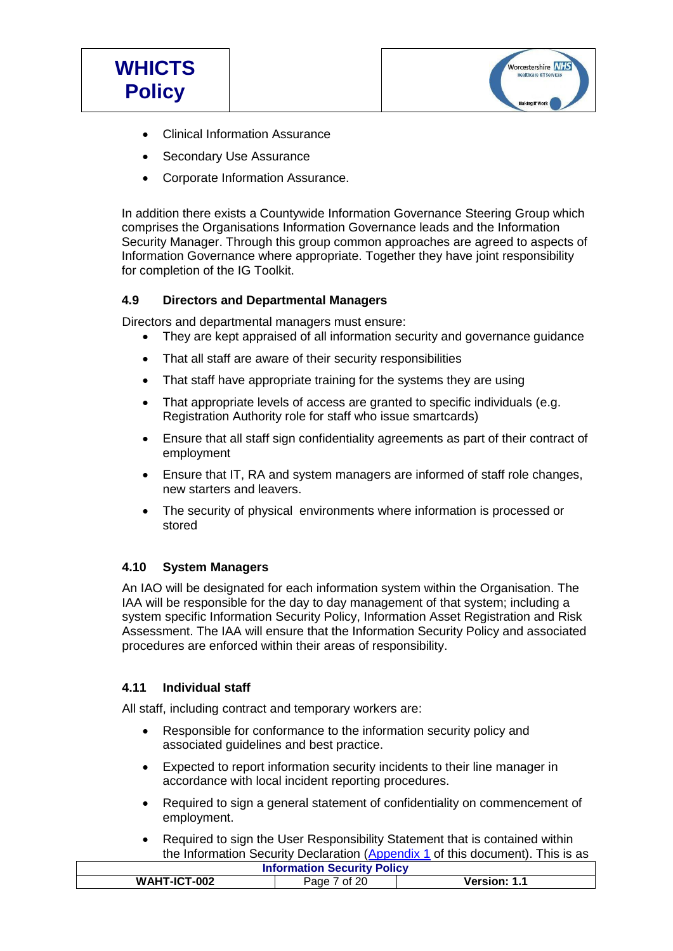

- Clinical Information Assurance
- Secondary Use Assurance
- Corporate Information Assurance.

In addition there exists a Countywide Information Governance Steering Group which comprises the Organisations Information Governance leads and the Information Security Manager. Through this group common approaches are agreed to aspects of Information Governance where appropriate. Together they have joint responsibility for completion of the IG Toolkit.

## **4.9 Directors and Departmental Managers**

Directors and departmental managers must ensure:

- They are kept appraised of all information security and governance guidance
- That all staff are aware of their security responsibilities
- That staff have appropriate training for the systems they are using
- That appropriate levels of access are granted to specific individuals (e.g. Registration Authority role for staff who issue smartcards)
- Ensure that all staff sign confidentiality agreements as part of their contract of employment
- Ensure that IT, RA and system managers are informed of staff role changes, new starters and leavers.
- The security of physical environments where information is processed or stored

# **4.10 System Managers**

An IAO will be designated for each information system within the Organisation. The IAA will be responsible for the day to day management of that system; including a system specific Information Security Policy, Information Asset Registration and Risk Assessment. The IAA will ensure that the Information Security Policy and associated procedures are enforced within their areas of responsibility.

#### **4.11 Individual staff**

All staff, including contract and temporary workers are:

- Responsible for conformance to the information security policy and associated guidelines and best practice.
- Expected to report information security incidents to their line manager in accordance with local incident reporting procedures.
- Required to sign a general statement of confidentiality on commencement of employment.
- Required to sign the User Responsibility Statement that is contained within the Information Security Declaration [\(Appendix 1](#page-16-0) of this document). This is as

| <b>Information Security Policy</b>               |  |  |  |
|--------------------------------------------------|--|--|--|
| WAHT-ICT-002<br>Version: 1.1<br>7 of 20<br>Page. |  |  |  |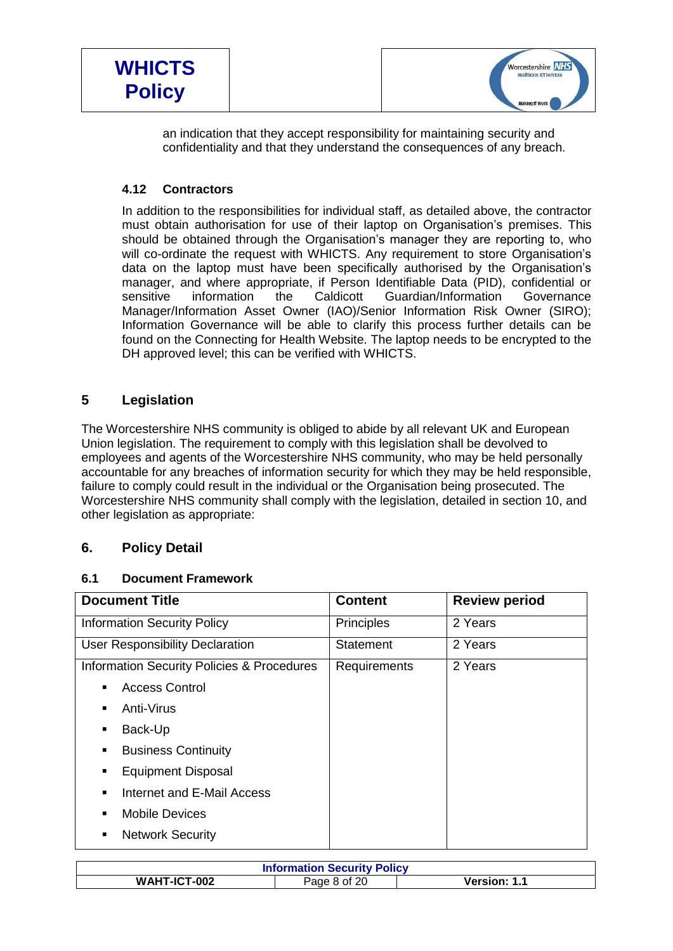

an indication that they accept responsibility for maintaining security and confidentiality and that they understand the consequences of any breach.

# **4.12 Contractors**

In addition to the responsibilities for individual staff, as detailed above, the contractor must obtain authorisation for use of their laptop on Organisation's premises. This should be obtained through the Organisation's manager they are reporting to, who will co-ordinate the request with WHICTS. Any requirement to store Organisation's data on the laptop must have been specifically authorised by the Organisation's manager, and where appropriate, if Person Identifiable Data (PID), confidential or sensitive information the Caldicott Guardian/Information Governance Manager/Information Asset Owner (IAO)/Senior Information Risk Owner (SIRO); Information Governance will be able to clarify this process further details can be found on the Connecting for Health Website. The laptop needs to be encrypted to the DH approved level; this can be verified with WHICTS.

# **5 Legislation**

The Worcestershire NHS community is obliged to abide by all relevant UK and European Union legislation. The requirement to comply with this legislation shall be devolved to employees and agents of the Worcestershire NHS community, who may be held personally accountable for any breaches of information security for which they may be held responsible, failure to comply could result in the individual or the Organisation being prosecuted. The Worcestershire NHS community shall comply with the legislation, detailed in section 10, and other legislation as appropriate:

# **6. Policy Detail**

# **6.1 Document Framework**

| <b>Document Title</b>                                 | <b>Content</b> | <b>Review period</b> |
|-------------------------------------------------------|----------------|----------------------|
| <b>Information Security Policy</b>                    | Principles     | 2 Years              |
| <b>User Responsibility Declaration</b>                | Statement      | 2 Years              |
| <b>Information Security Policies &amp; Procedures</b> | Requirements   | 2 Years              |
| <b>Access Control</b>                                 |                |                      |
| Anti-Virus<br>٠                                       |                |                      |
| Back-Up<br>٠                                          |                |                      |
| <b>Business Continuity</b><br>٠                       |                |                      |
| <b>Equipment Disposal</b><br>п                        |                |                      |
| Internet and E-Mail Access<br>٠                       |                |                      |
| <b>Mobile Devices</b>                                 |                |                      |
| <b>Network Security</b><br>٠                          |                |                      |

| <b>Information Security Policy</b> |              |                     |
|------------------------------------|--------------|---------------------|
| WAHT-ICT-002                       | Page 8 of 20 | <b>Version: 1.1</b> |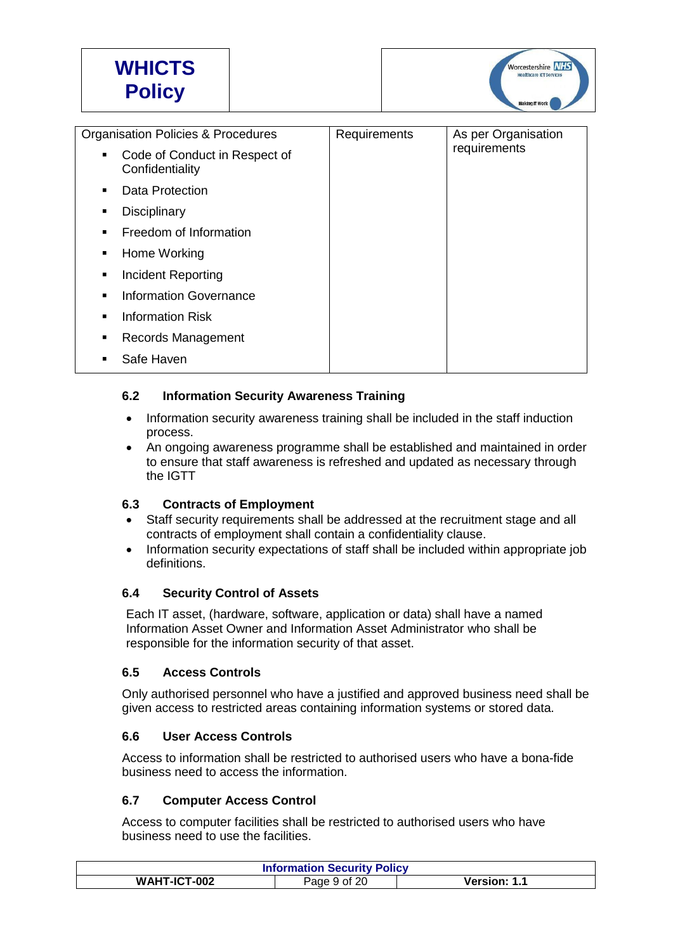

| <b>Organisation Policies &amp; Procedures</b>         | Requirements | As per Organisation |
|-------------------------------------------------------|--------------|---------------------|
| Code of Conduct in Respect of<br>٠<br>Confidentiality |              | requirements        |
| Data Protection<br>٠                                  |              |                     |
| <b>Disciplinary</b><br>٠                              |              |                     |
| Freedom of Information<br>$\blacksquare$              |              |                     |
| Home Working<br>٠                                     |              |                     |
| <b>Incident Reporting</b><br>٠                        |              |                     |
| <b>Information Governance</b><br>$\blacksquare$       |              |                     |
| <b>Information Risk</b><br>$\blacksquare$             |              |                     |
| Records Management<br>٠                               |              |                     |
| Safe Haven                                            |              |                     |

# **6.2 Information Security Awareness Training**

- Information security awareness training shall be included in the staff induction process.
- An ongoing awareness programme shall be established and maintained in order to ensure that staff awareness is refreshed and updated as necessary through the IGTT

#### **6.3 Contracts of Employment**

- Staff security requirements shall be addressed at the recruitment stage and all contracts of employment shall contain a confidentiality clause.
- Information security expectations of staff shall be included within appropriate job definitions.

#### **6.4 Security Control of Assets**

Each IT asset, (hardware, software, application or data) shall have a named Information Asset Owner and Information Asset Administrator who shall be responsible for the information security of that asset.

#### **6.5 Access Controls**

Only authorised personnel who have a justified and approved business need shall be given access to restricted areas containing information systems or stored data.

#### **6.6 User Access Controls**

Access to information shall be restricted to authorised users who have a bona-fide business need to access the information.

#### **6.7 Computer Access Control**

Access to computer facilities shall be restricted to authorised users who have business need to use the facilities.

| <b>Information Security Policy</b> |              |              |  |
|------------------------------------|--------------|--------------|--|
| WAHT-ICT-002                       | Page 9 of 20 | Version: 1.1 |  |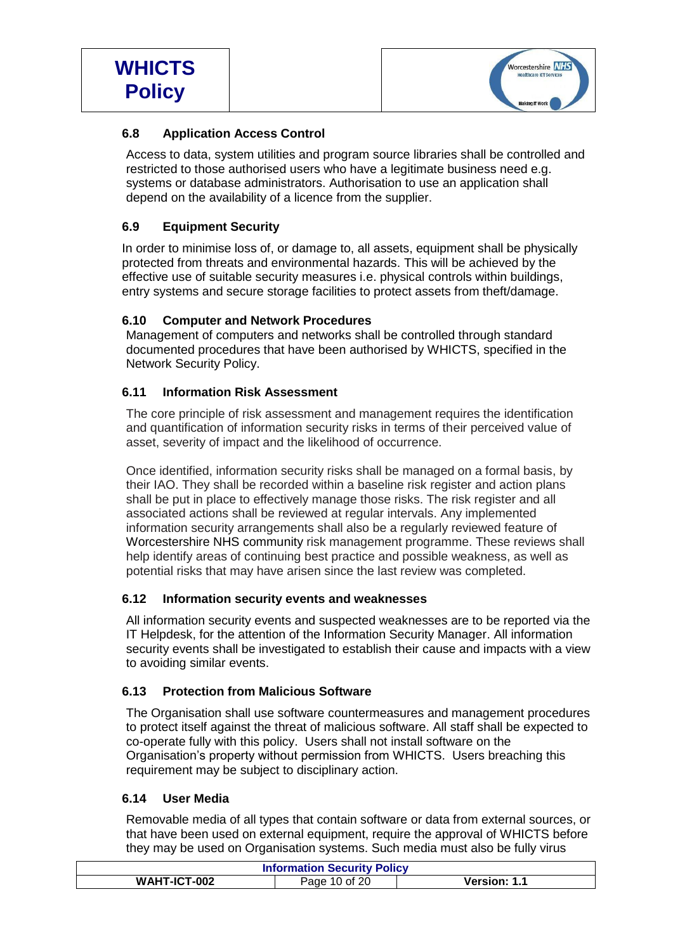

# **6.8 Application Access Control**

Access to data, system utilities and program source libraries shall be controlled and restricted to those authorised users who have a legitimate business need e.g. systems or database administrators. Authorisation to use an application shall depend on the availability of a licence from the supplier.

# **6.9 Equipment Security**

In order to minimise loss of, or damage to, all assets, equipment shall be physically protected from threats and environmental hazards. This will be achieved by the effective use of suitable security measures i.e. physical controls within buildings, entry systems and secure storage facilities to protect assets from theft/damage.

# **6.10 Computer and Network Procedures**

Management of computers and networks shall be controlled through standard documented procedures that have been authorised by WHICTS, specified in the Network Security Policy.

## **6.11 Information Risk Assessment**

The core principle of risk assessment and management requires the identification and quantification of information security risks in terms of their perceived value of asset, severity of impact and the likelihood of occurrence.

Once identified, information security risks shall be managed on a formal basis, by their IAO. They shall be recorded within a baseline risk register and action plans shall be put in place to effectively manage those risks. The risk register and all associated actions shall be reviewed at regular intervals. Any implemented information security arrangements shall also be a regularly reviewed feature of Worcestershire NHS community risk management programme. These reviews shall help identify areas of continuing best practice and possible weakness, as well as potential risks that may have arisen since the last review was completed.

# **6.12 Information security events and weaknesses**

All information security events and suspected weaknesses are to be reported via the IT Helpdesk, for the attention of the Information Security Manager. All information security events shall be investigated to establish their cause and impacts with a view to avoiding similar events.

#### **6.13 Protection from Malicious Software**

The Organisation shall use software countermeasures and management procedures to protect itself against the threat of malicious software. All staff shall be expected to co-operate fully with this policy. Users shall not install software on the Organisation's property without permission from WHICTS. Users breaching this requirement may be subject to disciplinary action.

#### **6.14 User Media**

Removable media of all types that contain software or data from external sources, or that have been used on external equipment, require the approval of WHICTS before they may be used on Organisation systems. Such media must also be fully virus

| <b>Information Security Policy</b> |               |              |  |
|------------------------------------|---------------|--------------|--|
| WAHT-ICT-002                       | Page 10 of 20 | Version: 1.1 |  |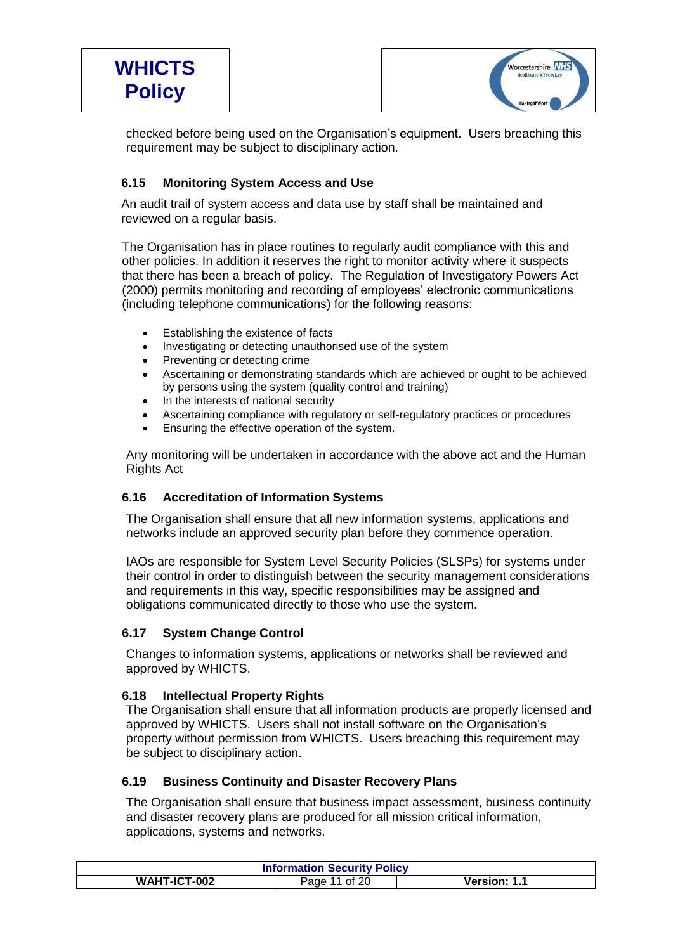

checked before being used on the Organisation's equipment. Users breaching this requirement may be subject to disciplinary action.

# **6.15 Monitoring System Access and Use**

An audit trail of system access and data use by staff shall be maintained and reviewed on a regular basis.

The Organisation has in place routines to regularly audit compliance with this and other policies. In addition it reserves the right to monitor activity where it suspects that there has been a breach of policy. The Regulation of Investigatory Powers Act (2000) permits monitoring and recording of employees' electronic communications (including telephone communications) for the following reasons:

- Establishing the existence of facts
- Investigating or detecting unauthorised use of the system
- Preventing or detecting crime
- Ascertaining or demonstrating standards which are achieved or ought to be achieved by persons using the system (quality control and training)
- In the interests of national security
- Ascertaining compliance with regulatory or self-regulatory practices or procedures
- Ensuring the effective operation of the system.

Any monitoring will be undertaken in accordance with the above act and the Human Rights Act

#### **6.16 Accreditation of Information Systems**

The Organisation shall ensure that all new information systems, applications and networks include an approved security plan before they commence operation.

IAOs are responsible for System Level Security Policies (SLSPs) for systems under their control in order to distinguish between the security management considerations and requirements in this way, specific responsibilities may be assigned and obligations communicated directly to those who use the system.

#### **6.17 System Change Control**

Changes to information systems, applications or networks shall be reviewed and approved by WHICTS.

#### **6.18 Intellectual Property Rights**

The Organisation shall ensure that all information products are properly licensed and approved by WHICTS. Users shall not install software on the Organisation's property without permission from WHICTS. Users breaching this requirement may be subject to disciplinary action.

#### **6.19 Business Continuity and Disaster Recovery Plans**

The Organisation shall ensure that business impact assessment, business continuity and disaster recovery plans are produced for all mission critical information, applications, systems and networks.

| <b>Information Security Policy</b> |               |                     |  |
|------------------------------------|---------------|---------------------|--|
| WAHT-ICT-002                       | Page 11 of 20 | <b>Version: 1.1</b> |  |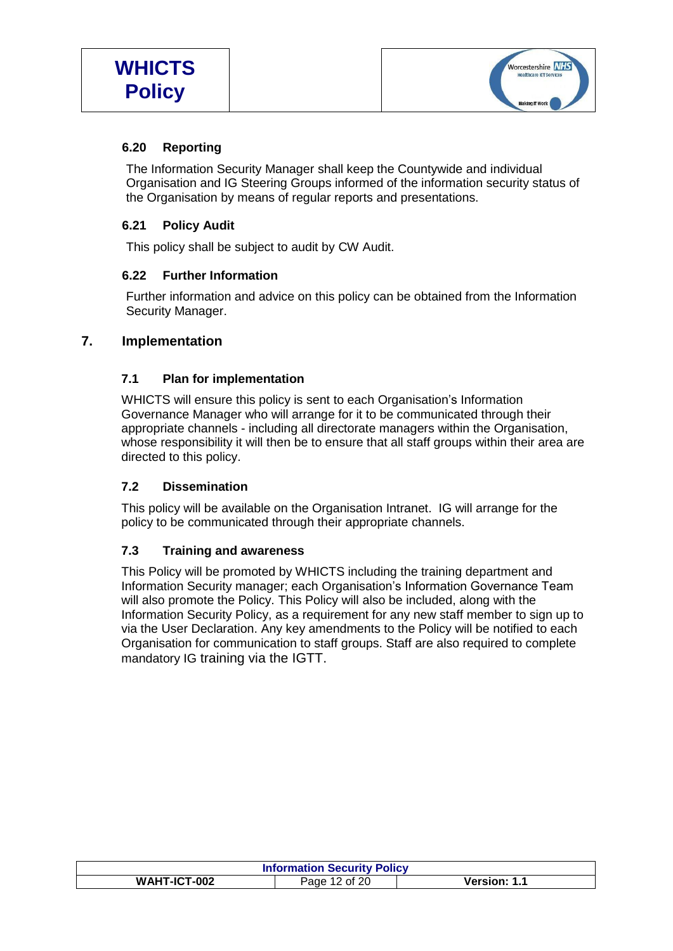

## **6.20 Reporting**

The Information Security Manager shall keep the Countywide and individual Organisation and IG Steering Groups informed of the information security status of the Organisation by means of regular reports and presentations.

## **6.21 Policy Audit**

This policy shall be subject to audit by CW Audit.

# **6.22 Further Information**

Further information and advice on this policy can be obtained from the Information Security Manager.

# **7. Implementation**

## **7.1 Plan for implementation**

WHICTS will ensure this policy is sent to each Organisation's Information Governance Manager who will arrange for it to be communicated through their appropriate channels - including all directorate managers within the Organisation, whose responsibility it will then be to ensure that all staff groups within their area are directed to this policy.

# **7.2 Dissemination**

This policy will be available on the Organisation Intranet. IG will arrange for the policy to be communicated through their appropriate channels.

# **7.3 Training and awareness**

This Policy will be promoted by WHICTS including the training department and Information Security manager; each Organisation's Information Governance Team will also promote the Policy. This Policy will also be included, along with the Information Security Policy, as a requirement for any new staff member to sign up to via the User Declaration. Any key amendments to the Policy will be notified to each Organisation for communication to staff groups. Staff are also required to complete mandatory IG training via the IGTT.

| <b>Information Security Policy</b> |                    |              |
|------------------------------------|--------------------|--------------|
| WAHT-ICT-002                       | of $20$<br>Page 12 | Version: 1.1 |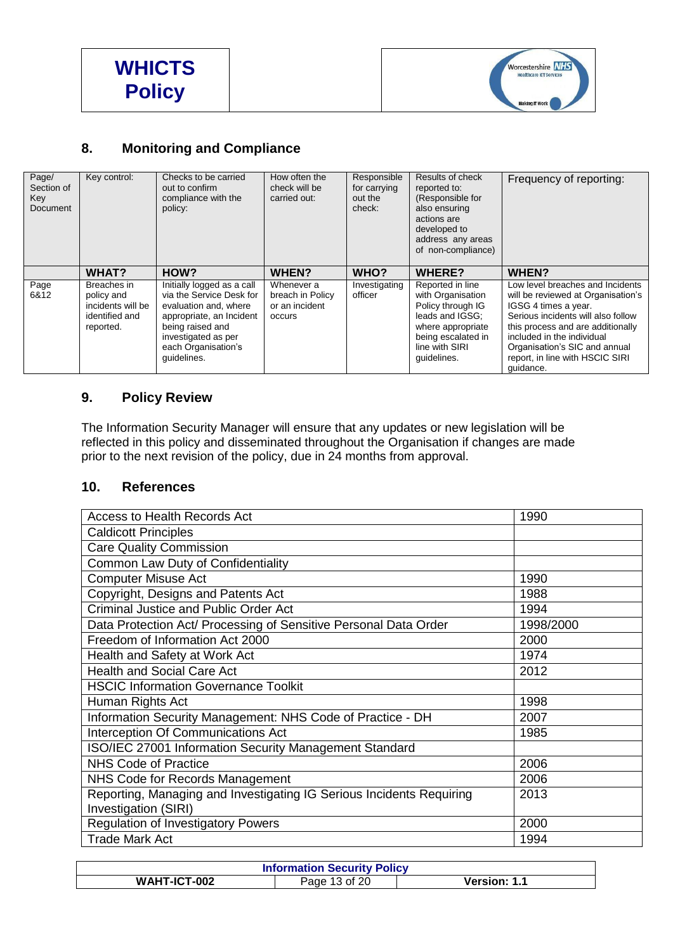



# **8. Monitoring and Compliance**

| Page/<br>Section of<br>Key<br><b>Document</b> | Key control:                                                                  | Checks to be carried<br>out to confirm<br>compliance with the<br>policy:                                                                                                                     | How often the<br>check will be<br>carried out:             | Responsible<br>for carrying<br>out the<br>check: | Results of check<br>reported to:<br>(Responsible for<br>also ensuring<br>actions are<br>developed to<br>address any areas<br>of non-compliance)           | Frequency of reporting:                                                                                                                                                                                                                                                                  |
|-----------------------------------------------|-------------------------------------------------------------------------------|----------------------------------------------------------------------------------------------------------------------------------------------------------------------------------------------|------------------------------------------------------------|--------------------------------------------------|-----------------------------------------------------------------------------------------------------------------------------------------------------------|------------------------------------------------------------------------------------------------------------------------------------------------------------------------------------------------------------------------------------------------------------------------------------------|
|                                               | WHAT?                                                                         | HOW?                                                                                                                                                                                         | <b>WHEN?</b>                                               | WHO?                                             | <b>WHERE?</b>                                                                                                                                             | WHEN?                                                                                                                                                                                                                                                                                    |
| Page<br>6&12                                  | Breaches in<br>policy and<br>incidents will be<br>identified and<br>reported. | Initially logged as a call<br>via the Service Desk for<br>evaluation and, where<br>appropriate, an Incident<br>being raised and<br>investigated as per<br>each Organisation's<br>quidelines. | Whenever a<br>breach in Policy<br>or an incident<br>occurs | Investigating<br>officer                         | Reported in line<br>with Organisation<br>Policy through IG<br>leads and IGSG:<br>where appropriate<br>being escalated in<br>line with SIRI<br>guidelines. | Low level breaches and Incidents<br>will be reviewed at Organisation's<br>IGSG 4 times a year.<br>Serious incidents will also follow<br>this process and are additionally<br>included in the individual<br>Organisation's SIC and annual<br>report, in line with HSCIC SIRI<br>quidance. |

# **9. Policy Review**

The Information Security Manager will ensure that any updates or new legislation will be reflected in this policy and disseminated throughout the Organisation if changes are made prior to the next revision of the policy, due in 24 months from approval.

#### **10. References**

| 1990      |
|-----------|
|           |
|           |
|           |
| 1990      |
| 1988      |
| 1994      |
| 1998/2000 |
| 2000      |
| 1974      |
| 2012      |
|           |
| 1998      |
| 2007      |
| 1985      |
|           |
| 2006      |
| 2006      |
| 2013      |
|           |
| 2000      |
| 1994      |
|           |

| <b>Information Security Policy</b> |               |              |  |
|------------------------------------|---------------|--------------|--|
| <b>WAHT-ICT-002</b>                | Page 13 of 20 | Version: 1.1 |  |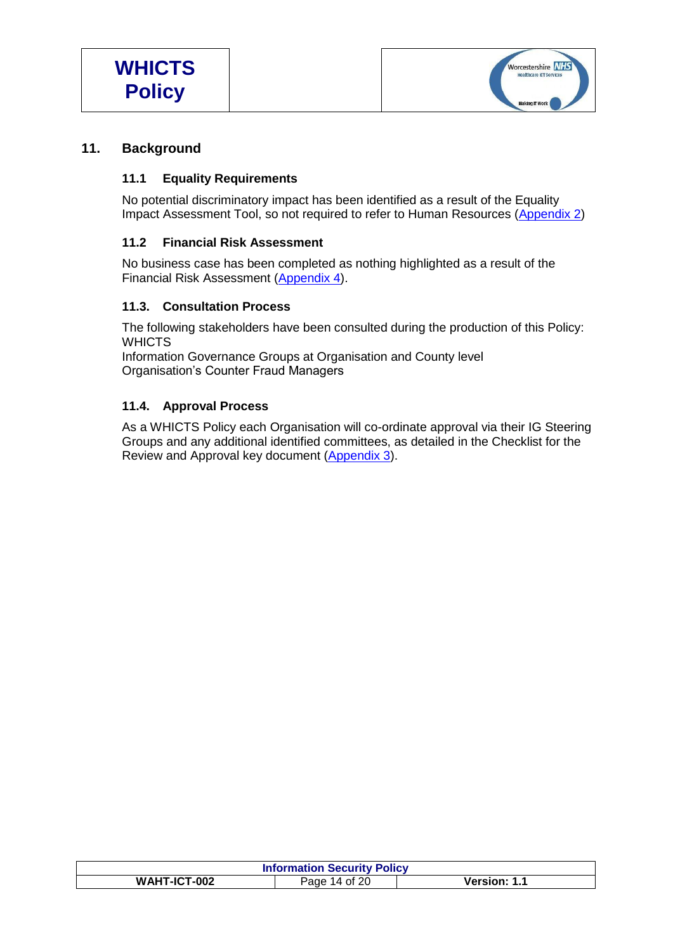

# **11. Background**

#### **11.1 Equality Requirements**

No potential discriminatory impact has been identified as a result of the Equality Impact Assessment Tool, so not required to refer to Human Resources [\(Appendix 2\)](#page-18-0)

## **11.2 Financial Risk Assessment**

No business case has been completed as nothing highlighted as a result of the Financial Risk Assessment [\(Appendix 4\)](#page-19-0).

#### **11.3. Consultation Process**

The following stakeholders have been consulted during the production of this Policy: **WHICTS** 

Information Governance Groups at Organisation and County level Organisation's Counter Fraud Managers

## **11.4. Approval Process**

As a WHICTS Policy each Organisation will co-ordinate approval via their IG Steering Groups and any additional identified committees, as detailed in the Checklist for the Review and Approval key document [\(Appendix 3\)](#page-19-0).

| <b>Information Security Policy</b> |                                      |  |  |
|------------------------------------|--------------------------------------|--|--|
| WAHT-ICT-002                       | <b>Version: 1.1</b><br>Page 14 of 20 |  |  |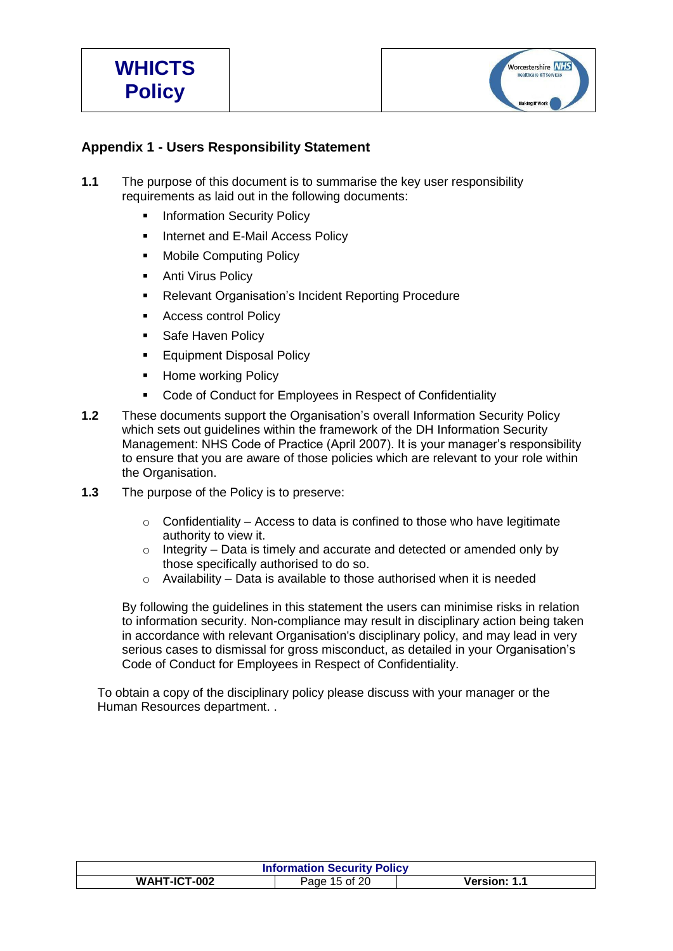

# **Appendix 1 - Users Responsibility Statement**

- **1.1** The purpose of this document is to summarise the key user responsibility requirements as laid out in the following documents:
	- Information Security Policy
	- **Internet and E-Mail Access Policy**
	- **Mobile Computing Policy**
	- **Anti Virus Policy**
	- **Relevant Organisation's Incident Reporting Procedure**
	- **Access control Policy**
	- **Safe Haven Policy**
	- Equipment Disposal Policy
	- **Home working Policy**
	- Code of Conduct for Employees in Respect of Confidentiality
- **1.2** These documents support the Organisation's overall Information Security Policy which sets out guidelines within the framework of the DH Information Security Management: NHS Code of Practice (April 2007). It is your manager's responsibility to ensure that you are aware of those policies which are relevant to your role within the Organisation.
- **1.3** The purpose of the Policy is to preserve:
	- $\circ$  Confidentiality Access to data is confined to those who have legitimate authority to view it.
	- $\circ$  Integrity Data is timely and accurate and detected or amended only by those specifically authorised to do so.
	- o Availability Data is available to those authorised when it is needed

By following the guidelines in this statement the users can minimise risks in relation to information security. Non-compliance may result in disciplinary action being taken in accordance with relevant Organisation's disciplinary policy, and may lead in very serious cases to dismissal for gross misconduct, as detailed in your Organisation's Code of Conduct for Employees in Respect of Confidentiality.

To obtain a copy of the disciplinary policy please discuss with your manager or the Human Resources department. .

| <b>Information Security Policy</b> |               |              |
|------------------------------------|---------------|--------------|
| WAHT-ICT-002                       | Page 15 of 20 | Version: 1.1 |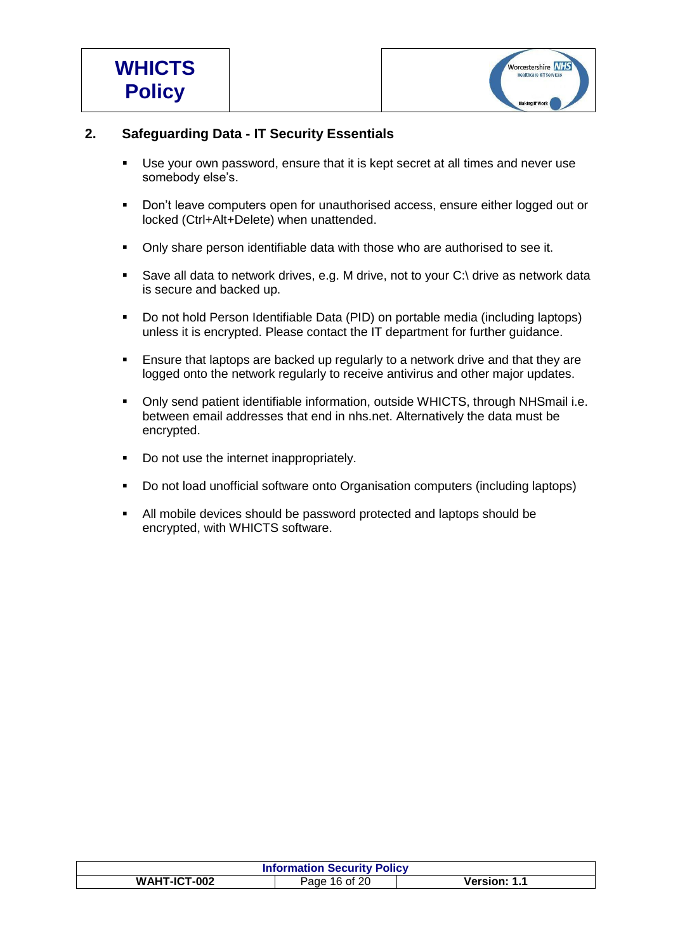

# **2. Safeguarding Data - IT Security Essentials**

- Use your own password, ensure that it is kept secret at all times and never use somebody else's.
- Don't leave computers open for unauthorised access, ensure either logged out or locked (Ctrl+Alt+Delete) when unattended.
- Only share person identifiable data with those who are authorised to see it.
- Save all data to network drives, e.g. M drive, not to your C:\ drive as network data is secure and backed up.
- Do not hold Person Identifiable Data (PID) on portable media (including laptops) unless it is encrypted. Please contact the IT department for further guidance.
- **Ensure that laptops are backed up regularly to a network drive and that they are** logged onto the network regularly to receive antivirus and other major updates.
- Only send patient identifiable information, outside WHICTS, through NHSmail i.e. between email addresses that end in nhs.net. Alternatively the data must be encrypted.
- Do not use the internet inappropriately.
- Do not load unofficial software onto Organisation computers (including laptops)
- All mobile devices should be password protected and laptops should be encrypted, with WHICTS software.

| <b>Information Security Policy</b>            |  |  |  |
|-----------------------------------------------|--|--|--|
| WAHT-ICT-002<br>Version: 1.1<br>Page 16 of 20 |  |  |  |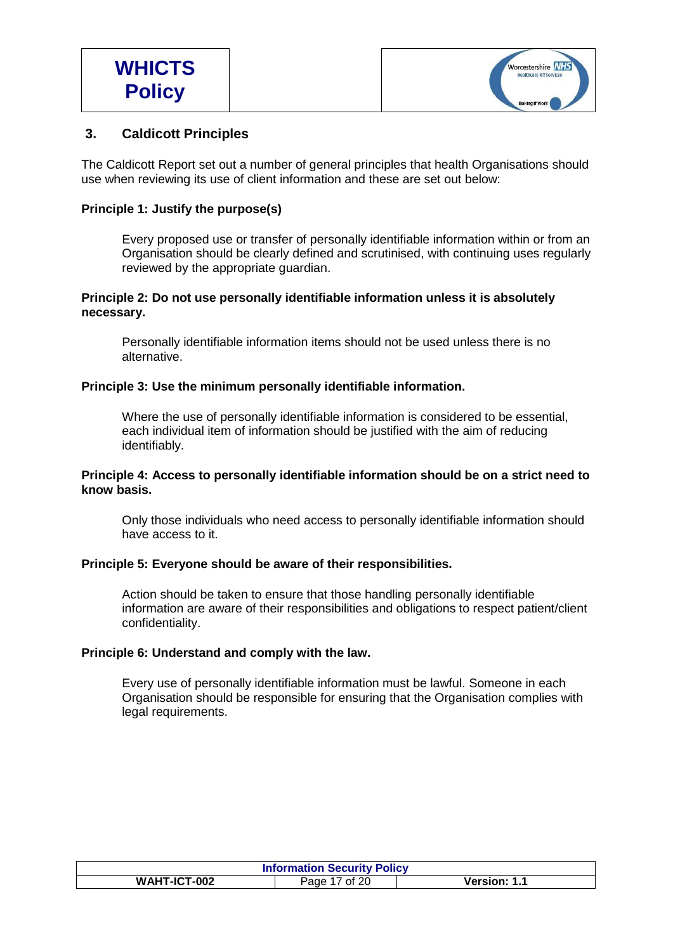

## **3. Caldicott Principles**

The Caldicott Report set out a number of general principles that health Organisations should use when reviewing its use of client information and these are set out below:

#### **Principle 1: Justify the purpose(s)**

Every proposed use or transfer of personally identifiable information within or from an Organisation should be clearly defined and scrutinised, with continuing uses regularly reviewed by the appropriate guardian.

#### **Principle 2: Do not use personally identifiable information unless it is absolutely necessary.**

Personally identifiable information items should not be used unless there is no alternative.

#### **Principle 3: Use the minimum personally identifiable information.**

Where the use of personally identifiable information is considered to be essential, each individual item of information should be justified with the aim of reducing identifiably.

#### **Principle 4: Access to personally identifiable information should be on a strict need to know basis.**

Only those individuals who need access to personally identifiable information should have access to it.

#### **Principle 5: Everyone should be aware of their responsibilities.**

Action should be taken to ensure that those handling personally identifiable information are aware of their responsibilities and obligations to respect patient/client confidentiality.

#### **Principle 6: Understand and comply with the law.**

<span id="page-16-0"></span>Every use of personally identifiable information must be lawful. Someone in each Organisation should be responsible for ensuring that the Organisation complies with legal requirements.

| <b>Information Security Policy</b> |                    |                     |
|------------------------------------|--------------------|---------------------|
| WAHT-ICT-002                       | of 20 '<br>Page 17 | <b>Version: 1.1</b> |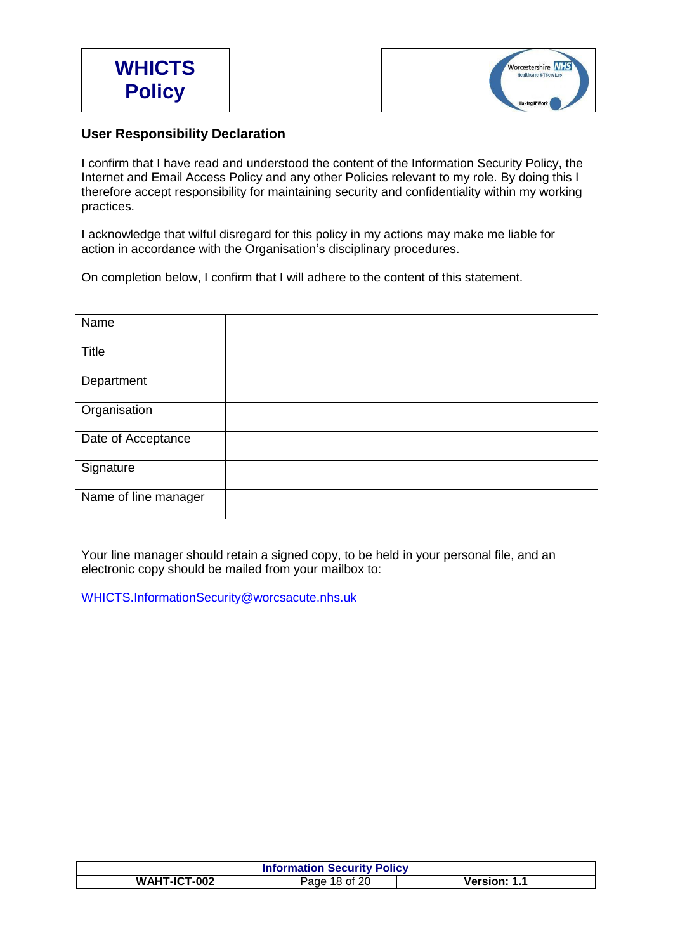

# **User Responsibility Declaration**

I confirm that I have read and understood the content of the Information Security Policy, the Internet and Email Access Policy and any other Policies relevant to my role. By doing this I therefore accept responsibility for maintaining security and confidentiality within my working practices.

I acknowledge that wilful disregard for this policy in my actions may make me liable for action in accordance with the Organisation's disciplinary procedures.

On completion below, I confirm that I will adhere to the content of this statement.

| Name                 |  |
|----------------------|--|
| Title                |  |
| Department           |  |
| Organisation         |  |
| Date of Acceptance   |  |
| Signature            |  |
| Name of line manager |  |

Your line manager should retain a signed copy, to be held in your personal file, and an electronic copy should be mailed from your mailbox to:

[WHICTS.InformationSecurity@worcsacute.nhs.uk](mailto:WHICTS.InformationSecurity@worcsacute.nhs.uk)

|                               | <b>Information Security Policy</b> |  |  |
|-------------------------------|------------------------------------|--|--|
| WAHT-ICT-002<br>Page 18 of 20 | Version: 1.1                       |  |  |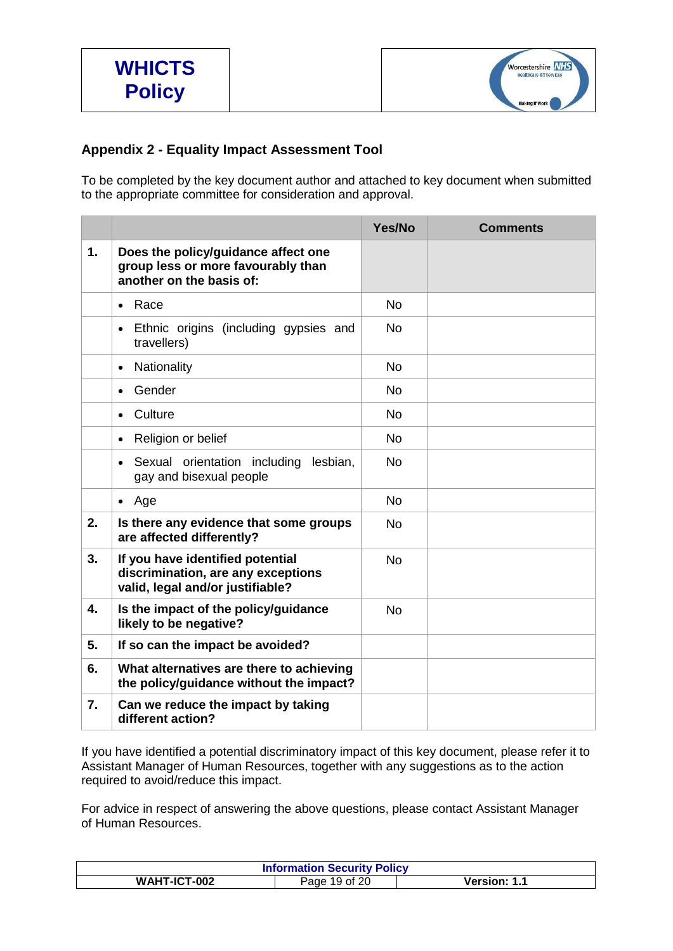

# <span id="page-18-0"></span>**Appendix 2 - Equality Impact Assessment Tool**

To be completed by the key document author and attached to key document when submitted to the appropriate committee for consideration and approval.

|    |                                                                                                            | Yes/No    | <b>Comments</b> |
|----|------------------------------------------------------------------------------------------------------------|-----------|-----------------|
| 1. | Does the policy/guidance affect one<br>group less or more favourably than<br>another on the basis of:      |           |                 |
|    | Race<br>$\bullet$                                                                                          | <b>No</b> |                 |
|    | Ethnic origins (including gypsies and<br>$\bullet$<br>travellers)                                          | <b>No</b> |                 |
|    | Nationality<br>$\bullet$                                                                                   | <b>No</b> |                 |
|    | Gender<br>$\bullet$                                                                                        | <b>No</b> |                 |
|    | Culture<br>$\bullet$                                                                                       | <b>No</b> |                 |
|    | Religion or belief<br>$\bullet$                                                                            | <b>No</b> |                 |
|    | Sexual orientation including<br>lesbian,<br>gay and bisexual people                                        | <b>No</b> |                 |
|    | Age<br>$\bullet$                                                                                           | <b>No</b> |                 |
| 2. | Is there any evidence that some groups<br>are affected differently?                                        | <b>No</b> |                 |
| 3. | If you have identified potential<br>discrimination, are any exceptions<br>valid, legal and/or justifiable? | <b>No</b> |                 |
| 4. | Is the impact of the policy/guidance<br>likely to be negative?                                             | <b>No</b> |                 |
| 5. | If so can the impact be avoided?                                                                           |           |                 |
| 6. | What alternatives are there to achieving<br>the policy/guidance without the impact?                        |           |                 |
| 7. | Can we reduce the impact by taking<br>different action?                                                    |           |                 |

If you have identified a potential discriminatory impact of this key document, please refer it to Assistant Manager of Human Resources, together with any suggestions as to the action required to avoid/reduce this impact.

For advice in respect of answering the above questions, please contact Assistant Manager of Human Resources.

| <b>Information Security Policy</b> |               |                     |
|------------------------------------|---------------|---------------------|
| WAHT-ICT-002                       | Page 19 of 20 | <b>Version: 1.1</b> |